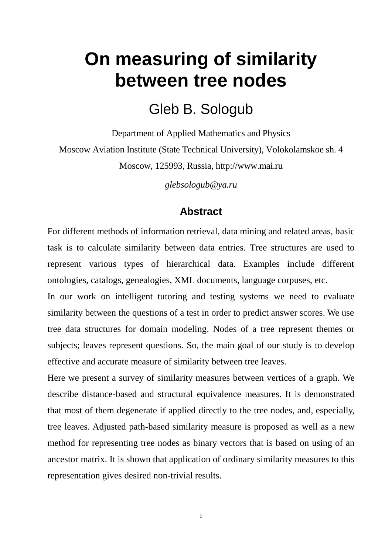# **On measuring of similarity between tree nodes**

## Gleb B. Sologub

Department of Applied Mathematics and Physics Moscow Aviation Institute (State Technical University), Volokolamskoe sh. 4 Moscow, 125993, Russia, http://www.mai.ru

*glebsologub@ya.ru*

#### **Abstract**

For different methods of information retrieval, data mining and related areas, basic task is to calculate similarity between data entries. Tree structures are used to represent various types of hierarchical data. Examples include different ontologies, catalogs, genealogies, XML documents, language corpuses, etc.

In our work on intelligent tutoring and testing systems we need to evaluate similarity between the questions of a test in order to predict answer scores. We use tree data structures for domain modeling. Nodes of a tree represent themes or subjects; leaves represent questions. So, the main goal of our study is to develop effective and accurate measure of similarity between tree leaves.

Here we present a survey of similarity measures between vertices of a graph. We describe distance-based and structural equivalence measures. It is demonstrated that most of them degenerate if applied directly to the tree nodes, and, especially, tree leaves. Adjusted path-based similarity measure is proposed as well as a new method for representing tree nodes as binary vectors that is based on using of an ancestor matrix. It is shown that application of ordinary similarity measures to this representation gives desired non-trivial results.

1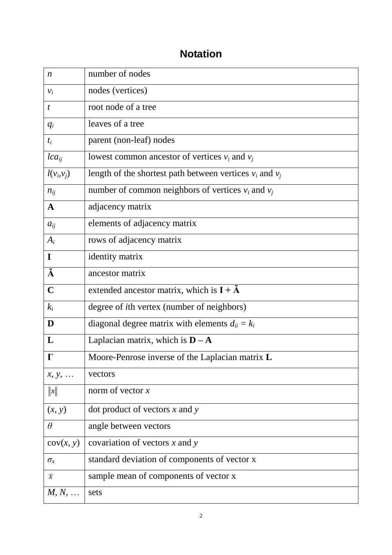### **Notation**

| $\boldsymbol{n}$ | number of nodes                                              |
|------------------|--------------------------------------------------------------|
| $v_i$            | nodes (vertices)                                             |
| $\boldsymbol{t}$ | root node of a tree                                          |
| $q_i$            | leaves of a tree                                             |
| $t_i$            | parent (non-leaf) nodes                                      |
| $lca_{ii}$       | lowest common ancestor of vertices $v_i$ and $v_j$           |
| $l(v_i, v_j)$    | length of the shortest path between vertices $v_i$ and $v_j$ |
| $n_{ij}$         | number of common neighbors of vertices $v_i$ and $v_j$       |
| A                | adjacency matrix                                             |
| $a_{ii}$         | elements of adjacency matrix                                 |
| $A_i$            | rows of adjacency matrix                                     |
| I                | identity matrix                                              |
| Ã                | ancestor matrix                                              |
| $\mathbf C$      | extended ancestor matrix, which is $I + \tilde{A}$           |
| $k_i$            | degree of <i>i</i> th vertex (number of neighbors)           |
| D                | diagonal degree matrix with elements $d_{ii} = k_i$          |
| L                | Laplacian matrix, which is $D - A$                           |
| $\Gamma$         | Moore-Penrose inverse of the Laplacian matrix L              |
| $x, y, \ldots$   | vectors                                                      |
| $\ x\ $          | norm of vector $x$                                           |
| (x, y)           | dot product of vectors $x$ and $y$                           |
| $\theta$         | angle between vectors                                        |
| cov(x, y)        | covariation of vectors $x$ and $y$                           |
| $\sigma_{\rm x}$ | standard deviation of components of vector x                 |
| $\overline{x}$   | sample mean of components of vector x                        |
| $M, N, \ldots$   | sets                                                         |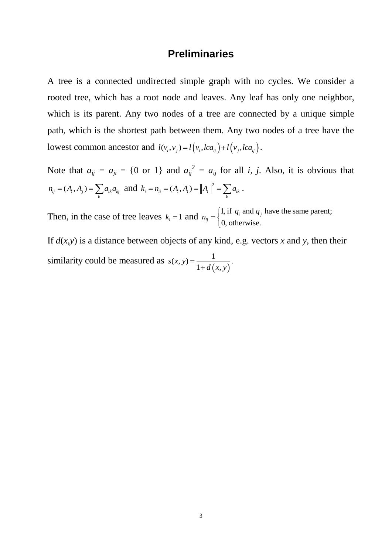#### **Preliminaries**

A tree is a connected undirected simple graph with no cycles. We consider a rooted tree, which has a root node and leaves. Any leaf has only one neighbor, which is its parent. Any two nodes of a tree are connected by a unique simple path, which is the shortest path between them. Any two nodes of a tree have the lowest common ancestor and  $l(v_i, v_j) = l(v_i, lca_{ij}) + l(v_j, lca_{ij}).$ 

Note that  $a_{ij} = a_{ji} = \{0 \text{ or } 1\}$  and  $a_{ij}^2 = a_{ij}$  for all *i*, *j*. Also, it is obvious that  $n_{ij} = (A_i, A_j) = \sum_k a_{ik} a_{kj}$  and  $k_i = n_{ii} = (A_i, A_i) = ||A_i||^2$  $k_i = n_{ii} = (A_i, A_i) = ||A_i||^2 = \sum_k a_{ik}$ .

Then, in the case of tree leaves  $k_i = 1$  and  $n_{ij} = \begin{cases} 1, & \text{if } q_i \text{ and } q_j \text{ have the same parent;} \\ 0, & \text{otherwise.} \end{cases}$  $n_{ij} = \begin{cases} 1, \text{ if } q_i \text{ and } q_j \\ 0, \text{ otherwise.} \end{cases}$  $=\Big\{$  $\overline{\mathcal{L}}$ 

If  $d(x, y)$  is a distance between objects of any kind, e.g. vectors *x* and *y*, then their similarity could be measured as  $(x, y)$  $(x, y) = \frac{1}{1 + 1}$  $\overline{1+d(x)}$ *s x y*  $=\frac{1}{1+d(x,y)}$  $\overline{+d(x,y)}$ .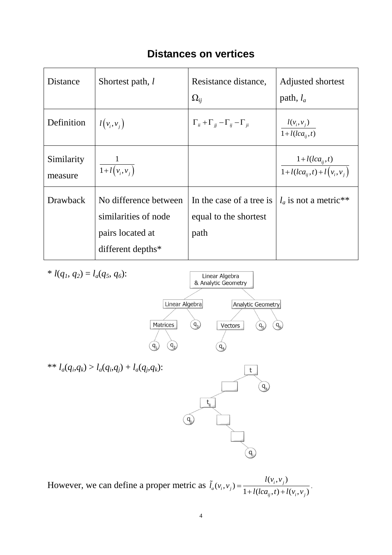| <b>Distances on vertices</b> |  |  |
|------------------------------|--|--|
|------------------------------|--|--|

| Distance              | Shortest path, l                                                                       | Resistance distance,<br>$\Omega_{ii}$                     | Adjusted shortest<br>path, $l_a$                     |
|-----------------------|----------------------------------------------------------------------------------------|-----------------------------------------------------------|------------------------------------------------------|
| Definition            | $l(v_i, v_j)$                                                                          | $\Gamma_{ii} + \Gamma_{jj} - \Gamma_{ij} - \Gamma_{ji}$   | $\frac{l(v_i,v_j)}{1+l(lca_{ij},t)}$                 |
| Similarity<br>measure | $\frac{1}{1+l(v_i,v_j)}$                                                               |                                                           | $\frac{1+l(lca_{ij},t)}{1+l(lca_{ij},t)+l(v_i,v_j)}$ |
| <b>Drawback</b>       | No difference between<br>similarities of node<br>pairs located at<br>different depths* | In the case of a tree is<br>equal to the shortest<br>path | $l_a$ is not a metric**                              |



However, we can define a proper metric as  $\tilde{l}_a(v_i, v_j) = \frac{l(v_i, v_j)}{l}$  $(v_i, v_j)$  $\frac{l(v_i, v_j)}{1 + l(lca_{ij}, t) + l(v_i, v_j)}$  $\int_a (\nu_i, \nu_j)$  $g_{ij}$ , t) +  $l(v_i, v_j)$  $l(v_i, v_i)$  $\tilde{l}_a(v_i,v)$  $=\frac{1}{1 + l(lca_{ij}, t) + l(v_i, v_j)}$ .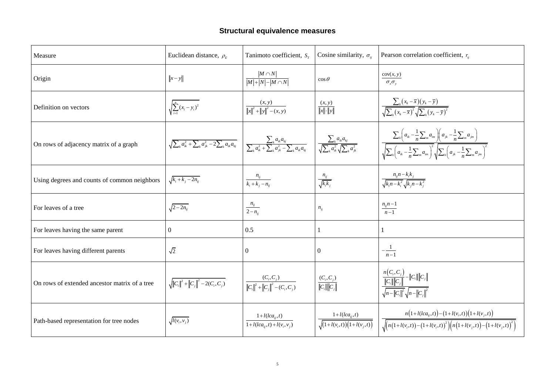# **Structural equivalence measures**

| Measure                                       | Euclidean distance, $\rho_{E}$                                            | Tanimoto coefficient, $S_{\tau}$                                                                                                                                                                                            | Cosine similarity, $\sigma_{ii}$                             | Pearson correlation coefficient, $r_{ii}$                                                                                                                                                                                                 |
|-----------------------------------------------|---------------------------------------------------------------------------|-----------------------------------------------------------------------------------------------------------------------------------------------------------------------------------------------------------------------------|--------------------------------------------------------------|-------------------------------------------------------------------------------------------------------------------------------------------------------------------------------------------------------------------------------------------|
| Origin                                        | $\ x-y\ $                                                                 | $ M \cap N $<br>$\frac{1}{ M + N - M\cap N }$                                                                                                                                                                               | $\cos \theta$                                                | cov(x, y)<br>$\sigma_{\rm x} \sigma_{\rm y}$                                                                                                                                                                                              |
| Definition on vectors                         | $\sqrt{\sum_{i=1}^{n} (x_i - y_i)^2}$                                     | $\frac{(x, y)}{  x  ^2 +   y  ^2 - (x, y)}$                                                                                                                                                                                 | $\frac{(x, y)}{\ x\  \cdot \ y\ }$                           | $\frac{\sum_{k}(x_k - \overline{x})(y_k - \overline{y})}{\sqrt{\sum_{k}(x_k - \overline{x})^2}\sqrt{\sum_{k}(y_k - \overline{y})^2}}$                                                                                                     |
| On rows of adjacency matrix of a graph        | $\sqrt{\sum_{k} a_{ik}^2 + \sum_{k} a_{jk}^2 - 2 \sum_{k} a_{ik} a_{kj}}$ | $\left( \begin{array}{c c} \hline \sum_k a_{ik} a_{kj} & \sqrt{\sum_k a_{ik} a_{kj}} \ \hline \sum_k a_{ik}^2 + \sum_k a_{jk}^2 - \sum_k a_{ik} a_{kj} & \sqrt{\sum_k a_{ik}^2} \sqrt{\sum_k a_{jk}^2} \end{array} \right)$ |                                                              | $\sum_{k}\left(a_{ik}-\frac{1}{n}\sum_{m}a_{im}\right)\left(a_{jk}-\frac{1}{n}\sum_{m}a_{jm}\right)$<br>$\sqrt{\sum_k \left(a_{ik} - \frac{1}{n} \sum_m a_{im}\right)^2} \sqrt{\sum_k \left(a_{jk} - \frac{1}{n} \sum_m a_{jm}\right)^2}$ |
| Using degrees and counts of common neighbors  | $\sqrt{k_i + k_j - 2n_{ii}}$                                              | $\frac{n_{ij}}{k_i + k_j - n_{ij}}$                                                                                                                                                                                         | $\frac{n_{ij}}{\sqrt{k_i k_j}}$                              | $\frac{n_{ij}n - k_i k_j}{\sqrt{k_i n - k_i^2} \sqrt{k_j n - k_j^2}}$                                                                                                                                                                     |
| For leaves of a tree                          | $\sqrt{2-2n_{ii}}$                                                        | $\frac{n_{ij}}{2-n_{ii}}$                                                                                                                                                                                                   | $n_{ij}$                                                     | $\frac{n_{ij}n-1}{n-1}$                                                                                                                                                                                                                   |
| For leaves having the same parent             | $\boldsymbol{0}$                                                          | 0.5                                                                                                                                                                                                                         |                                                              |                                                                                                                                                                                                                                           |
| For leaves having different parents           | $\sqrt{2}$                                                                | $\overline{0}$                                                                                                                                                                                                              | $\mathbf{0}$                                                 | $-\frac{1}{n-1}$                                                                                                                                                                                                                          |
| On rows of extended ancestor matrix of a tree | $\sqrt{\left\ C_i\right\ ^2+\left\ C_j\right\ ^2}-2(C_i,C_j)$             | $\frac{(C_i, C_j)}{\left\ C_i\right\ ^2 + \left\ C_j\right\ ^2 - (C_i, C_j)}$                                                                                                                                               | $\frac{(C_i, C_j)}{\ C_i\  \ C_j\ }$                         | $\frac{n(C_i, C_j)}{\ C_i\  \ C_j\ } - \ C_i\  \ C_j\ $<br>$\sqrt{n-\ C_i\ ^2}\sqrt{n-\ C_j\ ^2}$                                                                                                                                         |
| Path-based representation for tree nodes      | $\sqrt{l(v_i, v_j)}$                                                      | $1 + l(lca_{ii}, t)$<br>$1 + l(lca_{ii}, t) + l(v_i, v_i)$                                                                                                                                                                  | $1+l(lca_{ij},t)$<br>$\sqrt{(1 + l(v_i, t))(1 + l(v_j, t))}$ | $\frac{n\Big(1+l(lca_{ij},t)\Big)-\Big(1+l(\nu_i,t)\Big)\Big(1+l(\nu_j,t)\Big)}{\sqrt{\Big(n\Big(1+l(\nu_i,t)\Big)-\Big(1+l(\nu_i,t)\Big)^2\Big)\Big(n\Big(1+l(\nu_j,t)\Big)-1}}$                                                         |

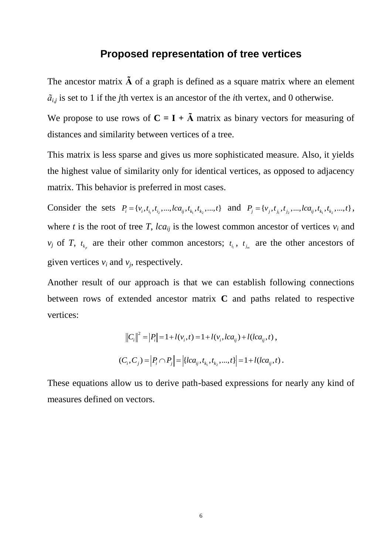#### **Proposed representation of tree vertices**

The ancestor matrix **Ã** of a graph is defined as a square matrix where an element  $\tilde{a}_{i,j}$  is set to 1 if the *j*th vertex is an ancestor of the *i*th vertex, and 0 otherwise.

We propose to use rows of  $C = I + \tilde{A}$  matrix as binary vectors for measuring of distances and similarity between vertices of a tree.

This matrix is less sparse and gives us more sophisticated measure. Also, it yields the highest value of similarity only for identical vertices, as opposed to adjacency matrix. This behavior is preferred in most cases.

Consider the sets  $P_i = \{v_i, t_{i_1}, t_{i_2}, ..., lca_{ij}, t_{k_1}, t_{k_2}, ..., t\}$  and  $P_j = \{v_j, t_{j_1}, t_{j_2}, ..., lca_{ij}, t_{k_1}, t_{k_2}, ..., t\}$ , where *t* is the root of tree *T*, *lca*<sub>*ij*</sub> is the lowest common ancestor of vertices  $v_i$  and *v<sub>j</sub>* of *T*,  $t_{k_p}$  are their other common ancestors;  $t_{i_l}$ ,  $t_{j_m}$  are the other ancestors of given vertices  $v_i$  and  $v_j$ , respectively.

Another result of our approach is that we can establish following connections between rows of extended ancestor matrix **C** and paths related to respective vertices:

$$
||C_i||^2 = |P_i| = 1 + l(v_i, t) = 1 + l(v_i, lca_{ij}) + l(lca_{ij}, t),
$$
  

$$
(C_i, C_j) = |P_i \cap P_j| = |\{lca_{ij}, t_{k_1}, t_{k_2}, ..., t\}| = 1 + l(lca_{ij}, t).
$$

These equations allow us to derive path-based expressions for nearly any kind of measures defined on vectors.